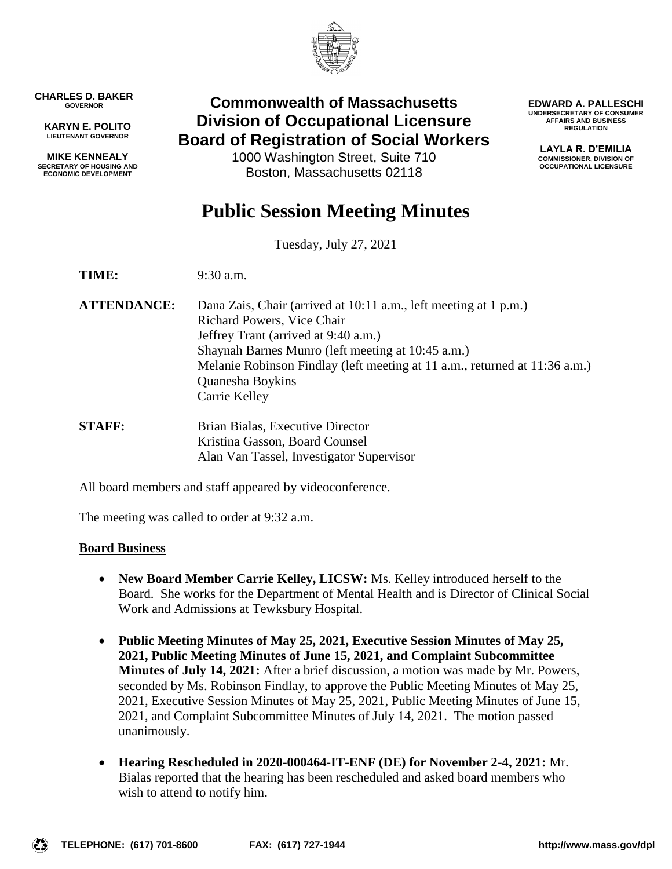

**CHARLES D. BAKER GOVERNOR**

**KARYN E. POLITO LIEUTENANT GOVERNOR**

**MIKE KENNEALY SECRETARY OF HOUSING AND ECONOMIC DEVELOPMENT**

## **Commonwealth of Massachusetts Division of Occupational Licensure Board of Registration of Social Workers**

1000 Washington Street, Suite 710 Boston, Massachusetts 02118

**EDWARD A. PALLESCHI UNDERSECRETARY OF CONSUMER AFFAIRS AND BUSINESS REGULATION**

> **LAYLA R. D'EMILIA COMMISSIONER, DIVISION OF OCCUPATIONAL LICENSURE**

# **Public Session Meeting Minutes**

Tuesday, July 27, 2021

**TIME:** 9:30 a.m.

- **ATTENDANCE:** Dana Zais, Chair (arrived at 10:11 a.m., left meeting at 1 p.m.) Richard Powers, Vice Chair Jeffrey Trant (arrived at 9:40 a.m.) Shaynah Barnes Munro (left meeting at 10:45 a.m.) Melanie Robinson Findlay (left meeting at 11 a.m., returned at 11:36 a.m.) Quanesha Boykins Carrie Kelley
- **STAFF:** Brian Bialas, Executive Director Kristina Gasson, Board Counsel Alan Van Tassel, Investigator Supervisor

All board members and staff appeared by videoconference.

The meeting was called to order at 9:32 a.m.

## **Board Business**

- **New Board Member Carrie Kelley, LICSW:** Ms. Kelley introduced herself to the Board. She works for the Department of Mental Health and is Director of Clinical Social Work and Admissions at Tewksbury Hospital.
- **Public Meeting Minutes of May 25, 2021, Executive Session Minutes of May 25, 2021, Public Meeting Minutes of June 15, 2021, and Complaint Subcommittee Minutes of July 14, 2021:** After a brief discussion, a motion was made by Mr. Powers, seconded by Ms. Robinson Findlay, to approve the Public Meeting Minutes of May 25, 2021, Executive Session Minutes of May 25, 2021, Public Meeting Minutes of June 15, 2021, and Complaint Subcommittee Minutes of July 14, 2021. The motion passed unanimously.
- **Hearing Rescheduled in 2020-000464-IT-ENF (DE) for November 2-4, 2021:** Mr. Bialas reported that the hearing has been rescheduled and asked board members who wish to attend to notify him.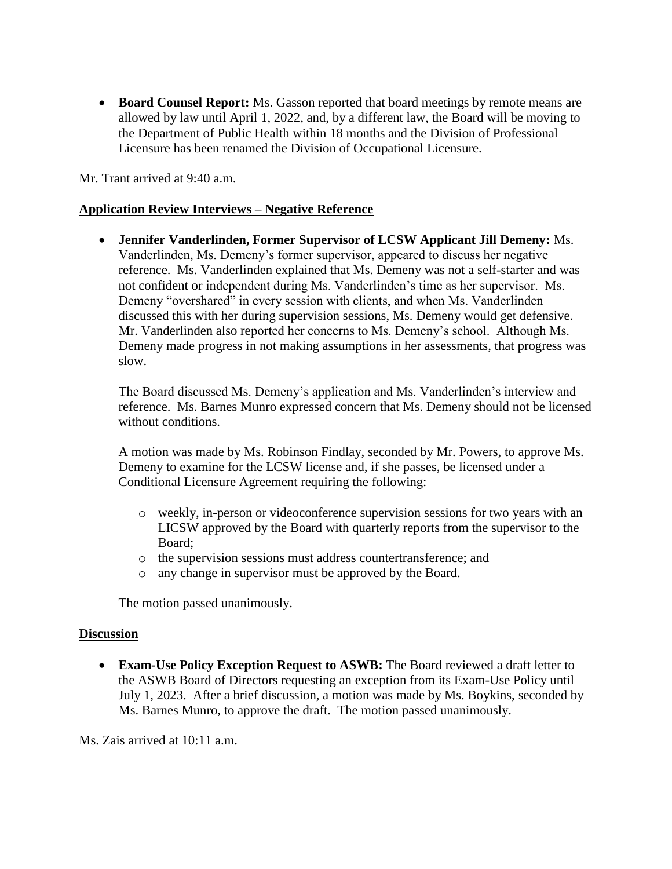**Board Counsel Report:** Ms. Gasson reported that board meetings by remote means are allowed by law until April 1, 2022, and, by a different law, the Board will be moving to the Department of Public Health within 18 months and the Division of Professional Licensure has been renamed the Division of Occupational Licensure.

Mr. Trant arrived at 9:40 a.m.

## **Application Review Interviews – Negative Reference**

 **Jennifer Vanderlinden, Former Supervisor of LCSW Applicant Jill Demeny:** Ms. Vanderlinden, Ms. Demeny's former supervisor, appeared to discuss her negative reference. Ms. Vanderlinden explained that Ms. Demeny was not a self-starter and was not confident or independent during Ms. Vanderlinden's time as her supervisor. Ms. Demeny "overshared" in every session with clients, and when Ms. Vanderlinden discussed this with her during supervision sessions, Ms. Demeny would get defensive. Mr. Vanderlinden also reported her concerns to Ms. Demeny's school. Although Ms. Demeny made progress in not making assumptions in her assessments, that progress was slow.

The Board discussed Ms. Demeny's application and Ms. Vanderlinden's interview and reference. Ms. Barnes Munro expressed concern that Ms. Demeny should not be licensed without conditions.

A motion was made by Ms. Robinson Findlay, seconded by Mr. Powers, to approve Ms. Demeny to examine for the LCSW license and, if she passes, be licensed under a Conditional Licensure Agreement requiring the following:

- o weekly, in-person or videoconference supervision sessions for two years with an LICSW approved by the Board with quarterly reports from the supervisor to the Board;
- o the supervision sessions must address countertransference; and
- o any change in supervisor must be approved by the Board.

The motion passed unanimously.

## **Discussion**

 **Exam-Use Policy Exception Request to ASWB:** The Board reviewed a draft letter to the ASWB Board of Directors requesting an exception from its Exam-Use Policy until July 1, 2023. After a brief discussion, a motion was made by Ms. Boykins, seconded by Ms. Barnes Munro, to approve the draft. The motion passed unanimously.

Ms. Zais arrived at 10:11 a.m.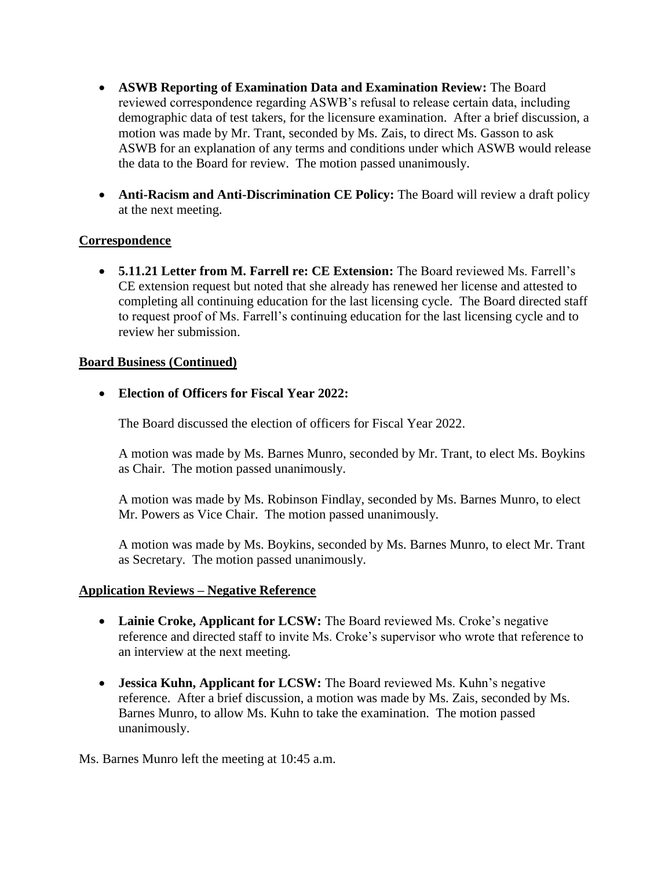- **ASWB Reporting of Examination Data and Examination Review:** The Board reviewed correspondence regarding ASWB's refusal to release certain data, including demographic data of test takers, for the licensure examination. After a brief discussion, a motion was made by Mr. Trant, seconded by Ms. Zais, to direct Ms. Gasson to ask ASWB for an explanation of any terms and conditions under which ASWB would release the data to the Board for review. The motion passed unanimously.
- **Anti-Racism and Anti-Discrimination CE Policy:** The Board will review a draft policy at the next meeting.

## **Correspondence**

 **5.11.21 Letter from M. Farrell re: CE Extension:** The Board reviewed Ms. Farrell's CE extension request but noted that she already has renewed her license and attested to completing all continuing education for the last licensing cycle. The Board directed staff to request proof of Ms. Farrell's continuing education for the last licensing cycle and to review her submission.

## **Board Business (Continued)**

## **Election of Officers for Fiscal Year 2022:**

The Board discussed the election of officers for Fiscal Year 2022.

A motion was made by Ms. Barnes Munro, seconded by Mr. Trant, to elect Ms. Boykins as Chair. The motion passed unanimously.

A motion was made by Ms. Robinson Findlay, seconded by Ms. Barnes Munro, to elect Mr. Powers as Vice Chair. The motion passed unanimously.

A motion was made by Ms. Boykins, seconded by Ms. Barnes Munro, to elect Mr. Trant as Secretary. The motion passed unanimously.

## **Application Reviews – Negative Reference**

- **Lainie Croke, Applicant for LCSW:** The Board reviewed Ms. Croke's negative reference and directed staff to invite Ms. Croke's supervisor who wrote that reference to an interview at the next meeting.
- **Jessica Kuhn, Applicant for LCSW:** The Board reviewed Ms. Kuhn's negative reference. After a brief discussion, a motion was made by Ms. Zais, seconded by Ms. Barnes Munro, to allow Ms. Kuhn to take the examination. The motion passed unanimously.

Ms. Barnes Munro left the meeting at 10:45 a.m.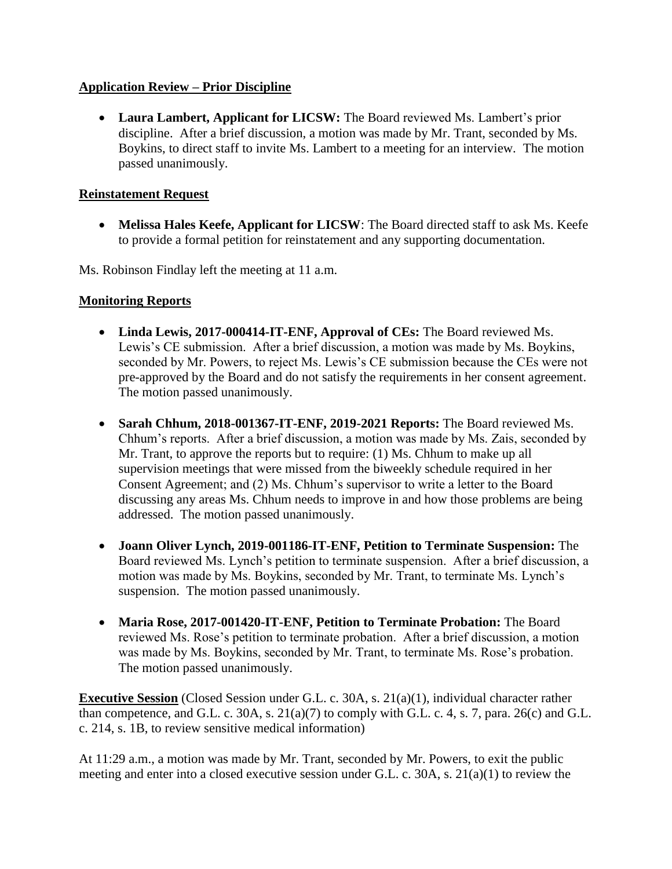## **Application Review – Prior Discipline**

 **Laura Lambert, Applicant for LICSW:** The Board reviewed Ms. Lambert's prior discipline. After a brief discussion, a motion was made by Mr. Trant, seconded by Ms. Boykins, to direct staff to invite Ms. Lambert to a meeting for an interview. The motion passed unanimously.

## **Reinstatement Request**

 **Melissa Hales Keefe, Applicant for LICSW**: The Board directed staff to ask Ms. Keefe to provide a formal petition for reinstatement and any supporting documentation.

Ms. Robinson Findlay left the meeting at 11 a.m.

## **Monitoring Reports**

- **Linda Lewis, 2017-000414-IT-ENF, Approval of CEs:** The Board reviewed Ms. Lewis's CE submission. After a brief discussion, a motion was made by Ms. Boykins, seconded by Mr. Powers, to reject Ms. Lewis's CE submission because the CEs were not pre-approved by the Board and do not satisfy the requirements in her consent agreement. The motion passed unanimously.
- Sarah Chhum, 2018-001367-IT-ENF, 2019-2021 Reports: The Board reviewed Ms. Chhum's reports. After a brief discussion, a motion was made by Ms. Zais, seconded by Mr. Trant, to approve the reports but to require: (1) Ms. Chhum to make up all supervision meetings that were missed from the biweekly schedule required in her Consent Agreement; and (2) Ms. Chhum's supervisor to write a letter to the Board discussing any areas Ms. Chhum needs to improve in and how those problems are being addressed. The motion passed unanimously.
- **Joann Oliver Lynch, 2019-001186-IT-ENF, Petition to Terminate Suspension:** The Board reviewed Ms. Lynch's petition to terminate suspension. After a brief discussion, a motion was made by Ms. Boykins, seconded by Mr. Trant, to terminate Ms. Lynch's suspension. The motion passed unanimously.
- **Maria Rose, 2017-001420-IT-ENF, Petition to Terminate Probation:** The Board reviewed Ms. Rose's petition to terminate probation. After a brief discussion, a motion was made by Ms. Boykins, seconded by Mr. Trant, to terminate Ms. Rose's probation. The motion passed unanimously.

**Executive Session** (Closed Session under G.L. c. 30A, s. 21(a)(1), individual character rather than competence, and G.L. c. 30A, s. 21(a)(7) to comply with G.L. c. 4, s. 7, para. 26(c) and G.L. c. 214, s. 1B, to review sensitive medical information)

At 11:29 a.m., a motion was made by Mr. Trant, seconded by Mr. Powers, to exit the public meeting and enter into a closed executive session under G.L. c. 30A, s. 21(a)(1) to review the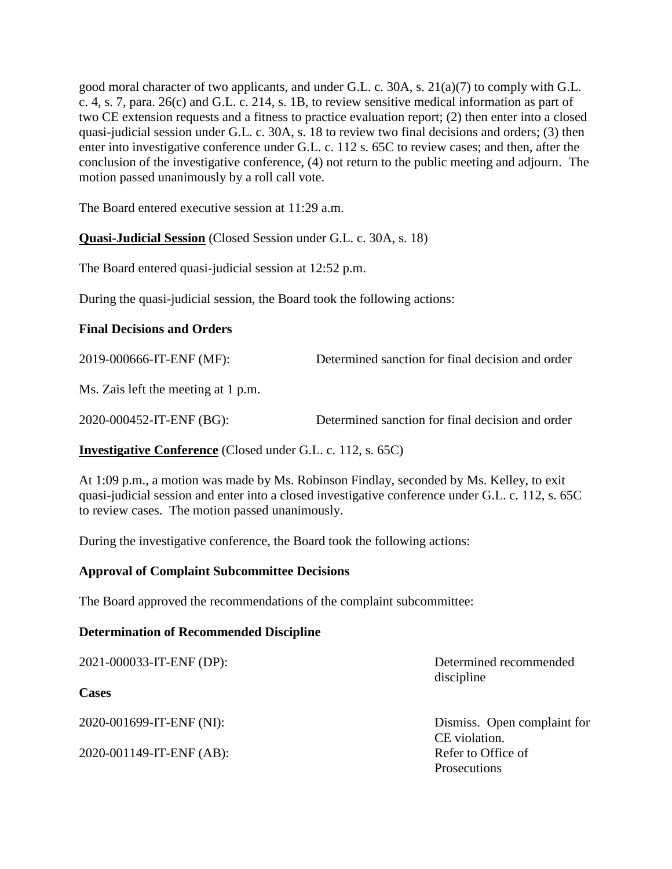good moral character of two applicants, and under G.L. c. 30A, s. 21(a)(7) to comply with G.L. c. 4, s. 7, para. 26(c) and G.L. c. 214, s. 1B, to review sensitive medical information as part of two CE extension requests and a fitness to practice evaluation report; (2) then enter into a closed quasi-judicial session under G.L. c. 30A, s. 18 to review two final decisions and orders; (3) then enter into investigative conference under G.L. c. 112 s. 65C to review cases; and then, after the conclusion of the investigative conference, (4) not return to the public meeting and adjourn. The motion passed unanimously by a roll call vote.

The Board entered executive session at 11:29 a.m.

**Quasi-Judicial Session** (Closed Session under G.L. c. 30A, s. 18)

The Board entered quasi-judicial session at 12:52 p.m.

During the quasi-judicial session, the Board took the following actions:

## **Final Decisions and Orders**

| 2019-000666-IT-ENF (MF):            | Determined sanction for final decision and order |
|-------------------------------------|--------------------------------------------------|
| Ms. Zais left the meeting at 1 p.m. |                                                  |
| 2020-000452-IT-ENF (BG):            | Determined sanction for final decision and order |

**Investigative Conference** (Closed under G.L. c. 112, s. 65C)

At 1:09 p.m., a motion was made by Ms. Robinson Findlay, seconded by Ms. Kelley, to exit quasi-judicial session and enter into a closed investigative conference under G.L. c. 112, s. 65C to review cases. The motion passed unanimously.

During the investigative conference, the Board took the following actions:

## **Approval of Complaint Subcommittee Decisions**

The Board approved the recommendations of the complaint subcommittee:

## **Determination of Recommended Discipline**

| 2021-000033-IT-ENF (DP):<br><b>Cases</b> | Determined recommended<br>discipline                |
|------------------------------------------|-----------------------------------------------------|
| 2020-001699-IT-ENF (NI):                 | Dismiss. Open complaint for                         |
| 2020-001149-IT-ENF (AB):                 | CE violation.<br>Refer to Office of<br>Prosecutions |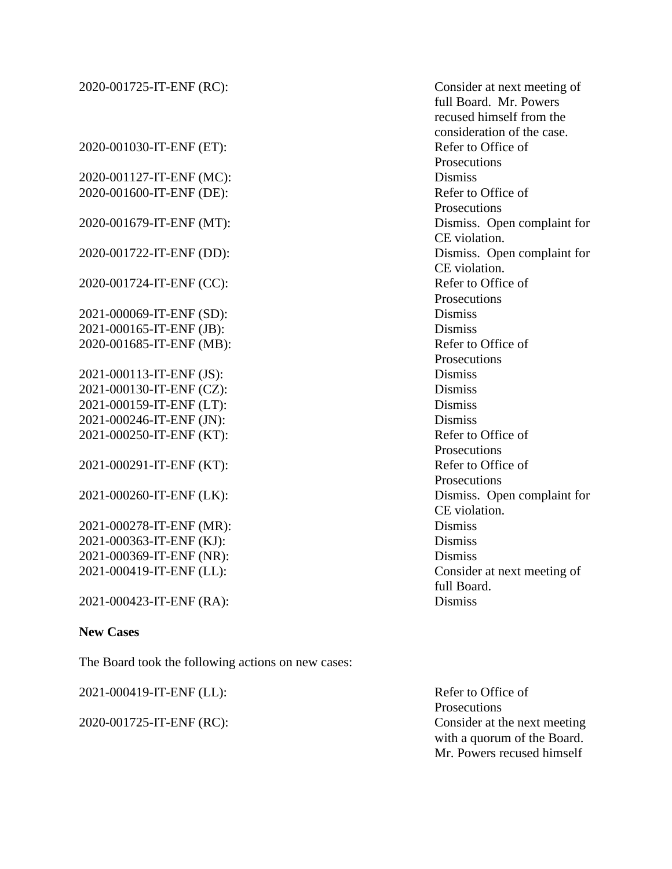| 2020-001725-IT-ENF (RC): | Consider at next meeting of<br>full Board. Mr. Powers<br>recused himself from the |
|--------------------------|-----------------------------------------------------------------------------------|
|                          | consideration of the case.                                                        |
| 2020-001030-IT-ENF (ET): | Refer to Office of                                                                |
|                          | Prosecutions                                                                      |
| 2020-001127-IT-ENF (MC): | <b>Dismiss</b>                                                                    |
| 2020-001600-IT-ENF (DE): | Refer to Office of                                                                |
|                          | Prosecutions                                                                      |
| 2020-001679-IT-ENF (MT): | Dismiss. Open complaint for                                                       |
|                          | CE violation.                                                                     |
| 2020-001722-IT-ENF (DD): | Dismiss. Open complaint for                                                       |
|                          | CE violation.                                                                     |
| 2020-001724-IT-ENF (CC): | Refer to Office of                                                                |
|                          | Prosecutions                                                                      |
| 2021-000069-IT-ENF (SD): | <b>Dismiss</b>                                                                    |
| 2021-000165-IT-ENF (JB): | <b>Dismiss</b>                                                                    |
| 2020-001685-IT-ENF (MB): | Refer to Office of                                                                |
|                          | Prosecutions                                                                      |
| 2021-000113-IT-ENF (JS): | <b>Dismiss</b>                                                                    |
| 2021-000130-IT-ENF (CZ): | <b>Dismiss</b>                                                                    |
| 2021-000159-IT-ENF (LT): | <b>Dismiss</b>                                                                    |
| 2021-000246-IT-ENF (JN): | <b>Dismiss</b>                                                                    |
| 2021-000250-IT-ENF (KT): | Refer to Office of                                                                |
|                          | Prosecutions                                                                      |
| 2021-000291-IT-ENF (KT): | Refer to Office of                                                                |
|                          | Prosecutions                                                                      |
| 2021-000260-IT-ENF (LK): | Dismiss. Open complaint for                                                       |
|                          | CE violation.                                                                     |
| 2021-000278-IT-ENF (MR): | <b>Dismiss</b>                                                                    |
| 2021-000363-IT-ENF (KJ): | <b>Dismiss</b>                                                                    |
| 2021-000369-IT-ENF (NR): | <b>Dismiss</b>                                                                    |
| 2021-000419-IT-ENF (LL): | Consider at next meeting of                                                       |
|                          | full Board.                                                                       |
| 2021-000423-IT-ENF (RA): | <b>Dismiss</b>                                                                    |
| <b>New Cases</b>         |                                                                                   |

The Board took the following actions on new cases:

2021-000419-IT-ENF (LL): Refer to Office of

Prosecutions 2020-001725-IT-ENF (RC): Consider at the next meeting with a quorum of the Board. Mr. Powers recused himself